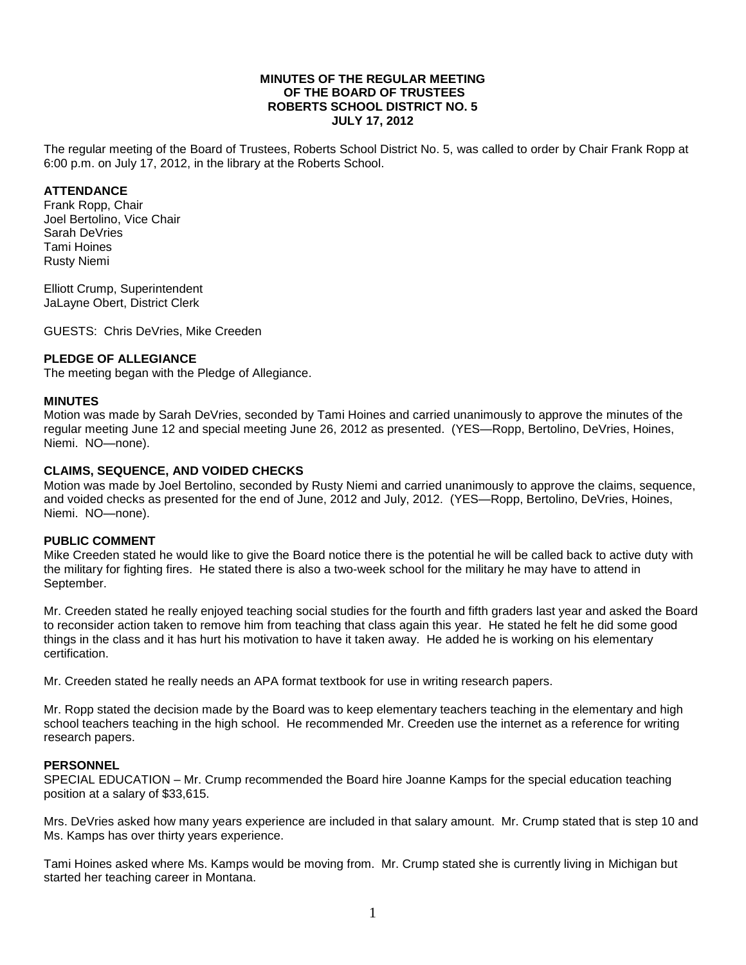#### **MINUTES OF THE REGULAR MEETING OF THE BOARD OF TRUSTEES ROBERTS SCHOOL DISTRICT NO. 5 JULY 17, 2012**

The regular meeting of the Board of Trustees, Roberts School District No. 5, was called to order by Chair Frank Ropp at 6:00 p.m. on July 17, 2012, in the library at the Roberts School.

## **ATTENDANCE**

Frank Ropp, Chair Joel Bertolino, Vice Chair Sarah DeVries Tami Hoines Rusty Niemi

Elliott Crump, Superintendent JaLayne Obert, District Clerk

GUESTS: Chris DeVries, Mike Creeden

## **PLEDGE OF ALLEGIANCE**

The meeting began with the Pledge of Allegiance.

#### **MINUTES**

Motion was made by Sarah DeVries, seconded by Tami Hoines and carried unanimously to approve the minutes of the regular meeting June 12 and special meeting June 26, 2012 as presented. (YES—Ropp, Bertolino, DeVries, Hoines, Niemi. NO—none).

## **CLAIMS, SEQUENCE, AND VOIDED CHECKS**

Motion was made by Joel Bertolino, seconded by Rusty Niemi and carried unanimously to approve the claims, sequence, and voided checks as presented for the end of June, 2012 and July, 2012. (YES—Ropp, Bertolino, DeVries, Hoines, Niemi. NO—none).

## **PUBLIC COMMENT**

Mike Creeden stated he would like to give the Board notice there is the potential he will be called back to active duty with the military for fighting fires. He stated there is also a two-week school for the military he may have to attend in September.

Mr. Creeden stated he really enjoyed teaching social studies for the fourth and fifth graders last year and asked the Board to reconsider action taken to remove him from teaching that class again this year. He stated he felt he did some good things in the class and it has hurt his motivation to have it taken away. He added he is working on his elementary certification.

Mr. Creeden stated he really needs an APA format textbook for use in writing research papers.

Mr. Ropp stated the decision made by the Board was to keep elementary teachers teaching in the elementary and high school teachers teaching in the high school. He recommended Mr. Creeden use the internet as a reference for writing research papers.

## **PERSONNEL**

SPECIAL EDUCATION – Mr. Crump recommended the Board hire Joanne Kamps for the special education teaching position at a salary of \$33,615.

Mrs. DeVries asked how many years experience are included in that salary amount. Mr. Crump stated that is step 10 and Ms. Kamps has over thirty years experience.

Tami Hoines asked where Ms. Kamps would be moving from. Mr. Crump stated she is currently living in Michigan but started her teaching career in Montana.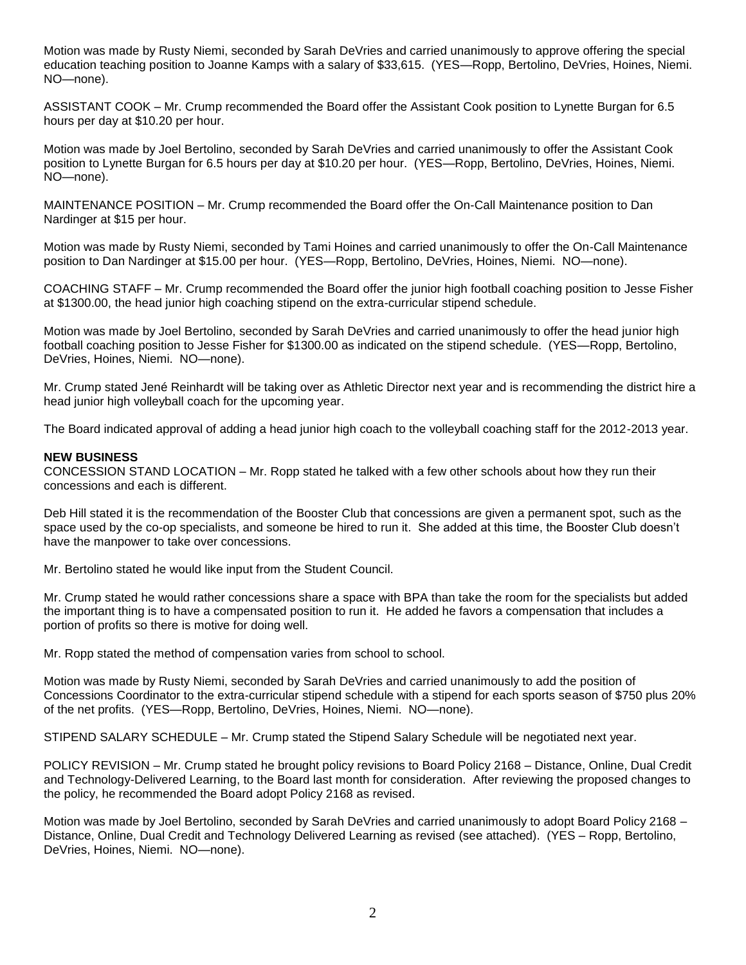Motion was made by Rusty Niemi, seconded by Sarah DeVries and carried unanimously to approve offering the special education teaching position to Joanne Kamps with a salary of \$33,615. (YES—Ropp, Bertolino, DeVries, Hoines, Niemi. NO—none).

ASSISTANT COOK – Mr. Crump recommended the Board offer the Assistant Cook position to Lynette Burgan for 6.5 hours per day at \$10.20 per hour.

Motion was made by Joel Bertolino, seconded by Sarah DeVries and carried unanimously to offer the Assistant Cook position to Lynette Burgan for 6.5 hours per day at \$10.20 per hour. (YES—Ropp, Bertolino, DeVries, Hoines, Niemi. NO—none).

MAINTENANCE POSITION – Mr. Crump recommended the Board offer the On-Call Maintenance position to Dan Nardinger at \$15 per hour.

Motion was made by Rusty Niemi, seconded by Tami Hoines and carried unanimously to offer the On-Call Maintenance position to Dan Nardinger at \$15.00 per hour. (YES—Ropp, Bertolino, DeVries, Hoines, Niemi. NO—none).

COACHING STAFF – Mr. Crump recommended the Board offer the junior high football coaching position to Jesse Fisher at \$1300.00, the head junior high coaching stipend on the extra-curricular stipend schedule.

Motion was made by Joel Bertolino, seconded by Sarah DeVries and carried unanimously to offer the head junior high football coaching position to Jesse Fisher for \$1300.00 as indicated on the stipend schedule. (YES—Ropp, Bertolino, DeVries, Hoines, Niemi. NO—none).

Mr. Crump stated Jené Reinhardt will be taking over as Athletic Director next year and is recommending the district hire a head junior high volleyball coach for the upcoming year.

The Board indicated approval of adding a head junior high coach to the volleyball coaching staff for the 2012-2013 year.

#### **NEW BUSINESS**

CONCESSION STAND LOCATION – Mr. Ropp stated he talked with a few other schools about how they run their concessions and each is different.

Deb Hill stated it is the recommendation of the Booster Club that concessions are given a permanent spot, such as the space used by the co-op specialists, and someone be hired to run it. She added at this time, the Booster Club doesn't have the manpower to take over concessions.

Mr. Bertolino stated he would like input from the Student Council.

Mr. Crump stated he would rather concessions share a space with BPA than take the room for the specialists but added the important thing is to have a compensated position to run it. He added he favors a compensation that includes a portion of profits so there is motive for doing well.

Mr. Ropp stated the method of compensation varies from school to school.

Motion was made by Rusty Niemi, seconded by Sarah DeVries and carried unanimously to add the position of Concessions Coordinator to the extra-curricular stipend schedule with a stipend for each sports season of \$750 plus 20% of the net profits. (YES—Ropp, Bertolino, DeVries, Hoines, Niemi. NO—none).

STIPEND SALARY SCHEDULE – Mr. Crump stated the Stipend Salary Schedule will be negotiated next year.

POLICY REVISION – Mr. Crump stated he brought policy revisions to Board Policy 2168 – Distance, Online, Dual Credit and Technology-Delivered Learning, to the Board last month for consideration. After reviewing the proposed changes to the policy, he recommended the Board adopt Policy 2168 as revised.

Motion was made by Joel Bertolino, seconded by Sarah DeVries and carried unanimously to adopt Board Policy 2168 – Distance, Online, Dual Credit and Technology Delivered Learning as revised (see attached). (YES – Ropp, Bertolino, DeVries, Hoines, Niemi. NO—none).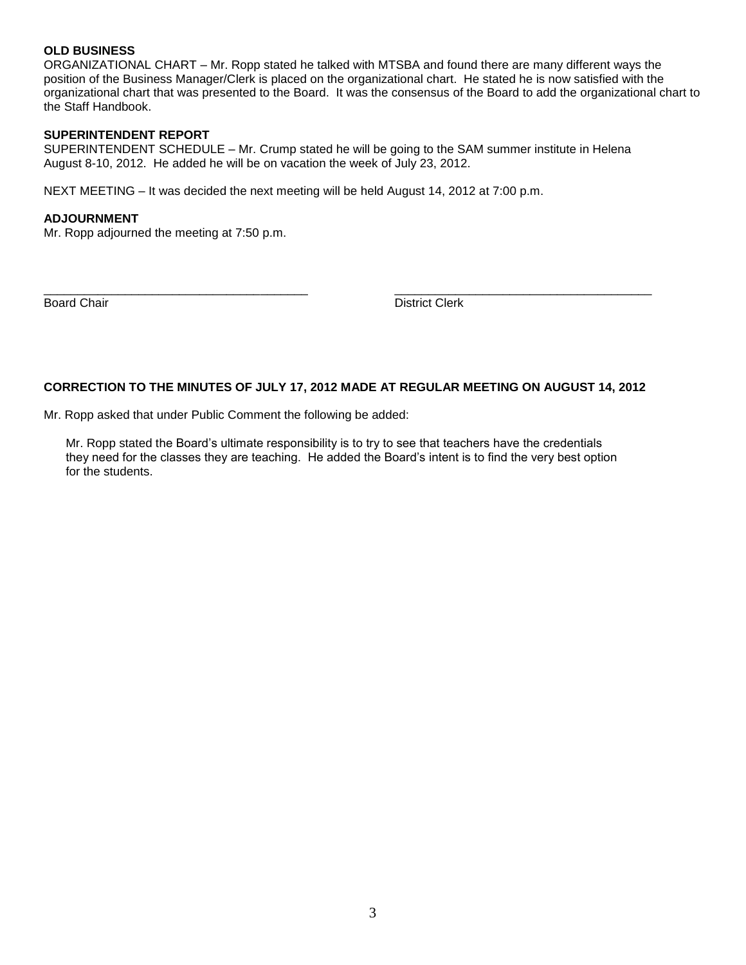# **OLD BUSINESS**

ORGANIZATIONAL CHART – Mr. Ropp stated he talked with MTSBA and found there are many different ways the position of the Business Manager/Clerk is placed on the organizational chart. He stated he is now satisfied with the organizational chart that was presented to the Board. It was the consensus of the Board to add the organizational chart to the Staff Handbook.

# **SUPERINTENDENT REPORT**

SUPERINTENDENT SCHEDULE – Mr. Crump stated he will be going to the SAM summer institute in Helena August 8-10, 2012. He added he will be on vacation the week of July 23, 2012.

NEXT MEETING – It was decided the next meeting will be held August 14, 2012 at 7:00 p.m.

#### **ADJOURNMENT**

Mr. Ropp adjourned the meeting at 7:50 p.m.

**Board Chair** District Clerk

## **CORRECTION TO THE MINUTES OF JULY 17, 2012 MADE AT REGULAR MEETING ON AUGUST 14, 2012**

\_\_\_\_\_\_\_\_\_\_\_\_\_\_\_\_\_\_\_\_\_\_\_\_\_\_\_\_\_\_\_\_\_\_\_\_\_\_\_ \_\_\_\_\_\_\_\_\_\_\_\_\_\_\_\_\_\_\_\_\_\_\_\_\_\_\_\_\_\_\_\_\_\_\_\_\_\_

Mr. Ropp asked that under Public Comment the following be added:

Mr. Ropp stated the Board's ultimate responsibility is to try to see that teachers have the credentials they need for the classes they are teaching. He added the Board's intent is to find the very best option for the students.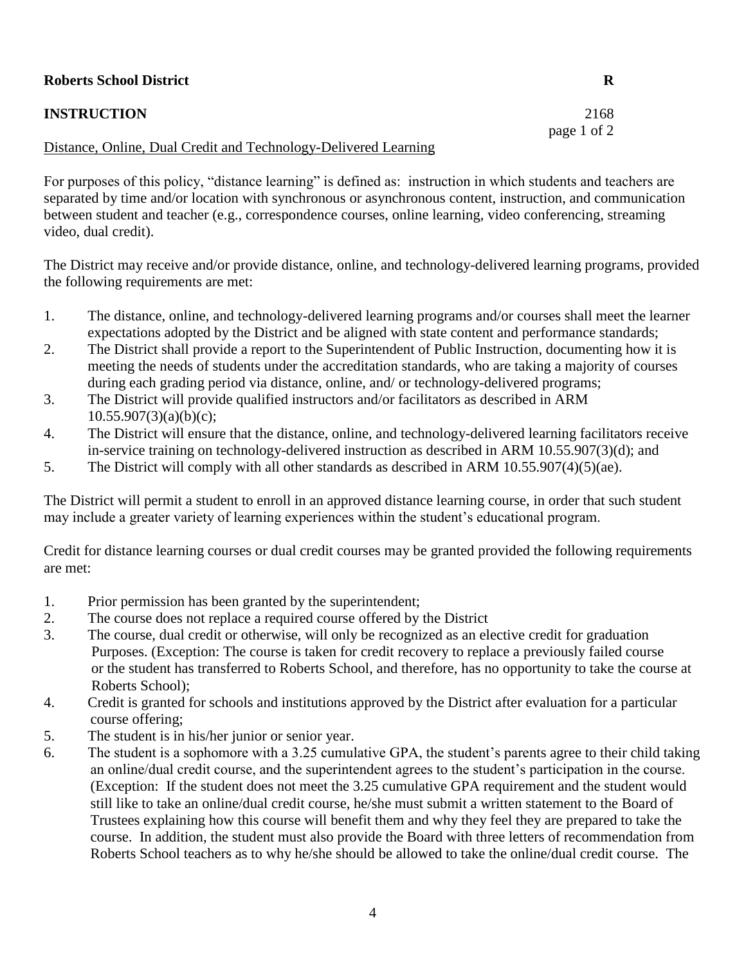| <b>Roberts School District</b>                                  | R           |  |
|-----------------------------------------------------------------|-------------|--|
| <b>INSTRUCTION</b>                                              | 2168        |  |
|                                                                 | page 1 of 2 |  |
| Distance, Online, Dual Credit and Technology-Delivered Learning |             |  |

For purposes of this policy, "distance learning" is defined as: instruction in which students and teachers are separated by time and/or location with synchronous or asynchronous content, instruction, and communication between student and teacher (e.g., correspondence courses, online learning, video conferencing, streaming video, dual credit).

The District may receive and/or provide distance, online, and technology-delivered learning programs, provided the following requirements are met:

- 1. The distance, online, and technology-delivered learning programs and/or courses shall meet the learner expectations adopted by the District and be aligned with state content and performance standards;
- 2. The District shall provide a report to the Superintendent of Public Instruction, documenting how it is meeting the needs of students under the accreditation standards, who are taking a majority of courses during each grading period via distance, online, and/ or technology-delivered programs;
- 3. The District will provide qualified instructors and/or facilitators as described in ARM  $10.55.907(3)(a)(b)(c);$
- 4. The District will ensure that the distance, online, and technology-delivered learning facilitators receive in-service training on technology-delivered instruction as described in ARM 10.55.907(3)(d); and
- 5. The District will comply with all other standards as described in ARM 10.55.907(4)(5)(ae).

The District will permit a student to enroll in an approved distance learning course, in order that such student may include a greater variety of learning experiences within the student's educational program.

Credit for distance learning courses or dual credit courses may be granted provided the following requirements are met:

- 1. Prior permission has been granted by the superintendent;
- 2. The course does not replace a required course offered by the District
- 3. The course, dual credit or otherwise, will only be recognized as an elective credit for graduation Purposes. (Exception: The course is taken for credit recovery to replace a previously failed course or the student has transferred to Roberts School, and therefore, has no opportunity to take the course at Roberts School);
- 4. Credit is granted for schools and institutions approved by the District after evaluation for a particular course offering;
- 5. The student is in his/her junior or senior year.
- 6. The student is a sophomore with a 3.25 cumulative GPA, the student's parents agree to their child taking an online/dual credit course, and the superintendent agrees to the student's participation in the course. (Exception: If the student does not meet the 3.25 cumulative GPA requirement and the student would still like to take an online/dual credit course, he/she must submit a written statement to the Board of Trustees explaining how this course will benefit them and why they feel they are prepared to take the course. In addition, the student must also provide the Board with three letters of recommendation from Roberts School teachers as to why he/she should be allowed to take the online/dual credit course. The